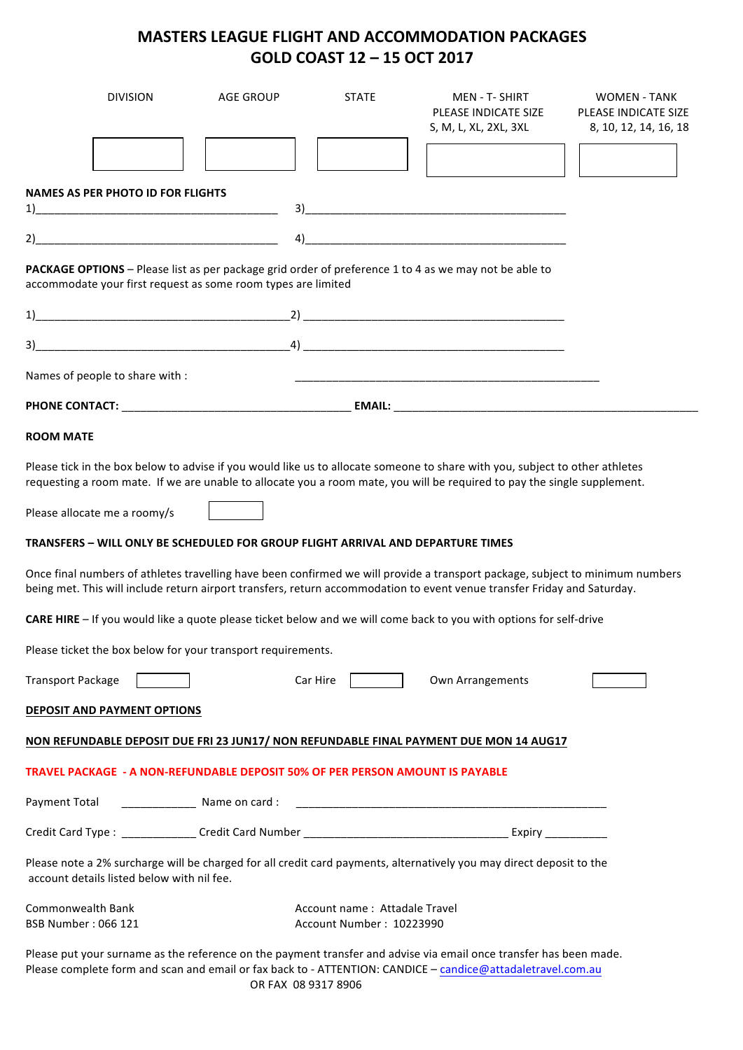## **MASTERS LEAGUE FLIGHT AND ACCOMMODATION PACKAGES GOLD COAST 12 – 15 OCT 2017**

| <b>DIVISION</b>                                                                                                                                                                                                                                                                                                                                                                                                                                                    | <b>AGE GROUP</b> | <b>STATE</b>                  | <b>MEN - T- SHIRT</b><br>PLEASE INDICATE SIZE<br>S, M, L, XL, 2XL, 3XL                                                                                                                                                                                                                                                                                                               | <b>WOMEN - TANK</b><br>PLEASE INDICATE SIZE<br>8, 10, 12, 14, 16, 18 |
|--------------------------------------------------------------------------------------------------------------------------------------------------------------------------------------------------------------------------------------------------------------------------------------------------------------------------------------------------------------------------------------------------------------------------------------------------------------------|------------------|-------------------------------|--------------------------------------------------------------------------------------------------------------------------------------------------------------------------------------------------------------------------------------------------------------------------------------------------------------------------------------------------------------------------------------|----------------------------------------------------------------------|
|                                                                                                                                                                                                                                                                                                                                                                                                                                                                    |                  |                               |                                                                                                                                                                                                                                                                                                                                                                                      |                                                                      |
| NAMES AS PER PHOTO ID FOR FLIGHTS                                                                                                                                                                                                                                                                                                                                                                                                                                  |                  |                               |                                                                                                                                                                                                                                                                                                                                                                                      |                                                                      |
|                                                                                                                                                                                                                                                                                                                                                                                                                                                                    |                  |                               |                                                                                                                                                                                                                                                                                                                                                                                      |                                                                      |
|                                                                                                                                                                                                                                                                                                                                                                                                                                                                    |                  |                               | $\overline{a}$ $\overline{a}$ $\overline{a}$ $\overline{a}$ $\overline{a}$ $\overline{a}$ $\overline{a}$ $\overline{a}$ $\overline{a}$ $\overline{a}$ $\overline{a}$ $\overline{a}$ $\overline{a}$ $\overline{a}$ $\overline{a}$ $\overline{a}$ $\overline{a}$ $\overline{a}$ $\overline{a}$ $\overline{a}$ $\overline{a}$ $\overline{a}$ $\overline{a}$ $\overline{a}$ $\overline{$ |                                                                      |
| PACKAGE OPTIONS - Please list as per package grid order of preference 1 to 4 as we may not be able to<br>accommodate your first request as some room types are limited                                                                                                                                                                                                                                                                                             |                  |                               |                                                                                                                                                                                                                                                                                                                                                                                      |                                                                      |
|                                                                                                                                                                                                                                                                                                                                                                                                                                                                    |                  |                               |                                                                                                                                                                                                                                                                                                                                                                                      |                                                                      |
|                                                                                                                                                                                                                                                                                                                                                                                                                                                                    |                  |                               |                                                                                                                                                                                                                                                                                                                                                                                      |                                                                      |
| Names of people to share with :                                                                                                                                                                                                                                                                                                                                                                                                                                    |                  |                               |                                                                                                                                                                                                                                                                                                                                                                                      |                                                                      |
|                                                                                                                                                                                                                                                                                                                                                                                                                                                                    |                  |                               |                                                                                                                                                                                                                                                                                                                                                                                      |                                                                      |
| <b>ROOM MATE</b>                                                                                                                                                                                                                                                                                                                                                                                                                                                   |                  |                               |                                                                                                                                                                                                                                                                                                                                                                                      |                                                                      |
| TRANSFERS – WILL ONLY BE SCHEDULED FOR GROUP FLIGHT ARRIVAL AND DEPARTURE TIMES<br>Once final numbers of athletes travelling have been confirmed we will provide a transport package, subject to minimum numbers<br>being met. This will include return airport transfers, return accommodation to event venue transfer Friday and Saturday.<br>CARE HIRE - If you would like a quote please ticket below and we will come back to you with options for self-drive |                  |                               |                                                                                                                                                                                                                                                                                                                                                                                      |                                                                      |
| Please ticket the box below for your transport requirements.                                                                                                                                                                                                                                                                                                                                                                                                       |                  |                               |                                                                                                                                                                                                                                                                                                                                                                                      |                                                                      |
| Transport Package                                                                                                                                                                                                                                                                                                                                                                                                                                                  |                  | Car Hire                      | Own Arrangements                                                                                                                                                                                                                                                                                                                                                                     |                                                                      |
|                                                                                                                                                                                                                                                                                                                                                                                                                                                                    |                  |                               |                                                                                                                                                                                                                                                                                                                                                                                      |                                                                      |
| <b>DEPOSIT AND PAYMENT OPTIONS</b>                                                                                                                                                                                                                                                                                                                                                                                                                                 |                  |                               |                                                                                                                                                                                                                                                                                                                                                                                      |                                                                      |
| NON REFUNDABLE DEPOSIT DUE FRI 23 JUN17/ NON REFUNDABLE FINAL PAYMENT DUE MON 14 AUG17                                                                                                                                                                                                                                                                                                                                                                             |                  |                               |                                                                                                                                                                                                                                                                                                                                                                                      |                                                                      |
| TRAVEL PACKAGE - A NON-REFUNDABLE DEPOSIT 50% OF PER PERSON AMOUNT IS PAYABLE                                                                                                                                                                                                                                                                                                                                                                                      |                  |                               |                                                                                                                                                                                                                                                                                                                                                                                      |                                                                      |
|                                                                                                                                                                                                                                                                                                                                                                                                                                                                    |                  |                               |                                                                                                                                                                                                                                                                                                                                                                                      |                                                                      |
|                                                                                                                                                                                                                                                                                                                                                                                                                                                                    |                  |                               |                                                                                                                                                                                                                                                                                                                                                                                      |                                                                      |
| Please note a 2% surcharge will be charged for all credit card payments, alternatively you may direct deposit to the<br>account details listed below with nil fee.                                                                                                                                                                                                                                                                                                 |                  |                               |                                                                                                                                                                                                                                                                                                                                                                                      |                                                                      |
| Commonwealth Bank                                                                                                                                                                                                                                                                                                                                                                                                                                                  |                  | Account name: Attadale Travel |                                                                                                                                                                                                                                                                                                                                                                                      |                                                                      |
| BSB Number: 066 121                                                                                                                                                                                                                                                                                                                                                                                                                                                |                  | Account Number: 10223990      |                                                                                                                                                                                                                                                                                                                                                                                      |                                                                      |
| Please put your surname as the reference on the payment transfer and advise via email once transfer has been made.<br>Please complete form and scan and email or fax back to - ATTENTION: CANDICE - candice@attadaletravel.com.au                                                                                                                                                                                                                                  |                  |                               |                                                                                                                                                                                                                                                                                                                                                                                      |                                                                      |